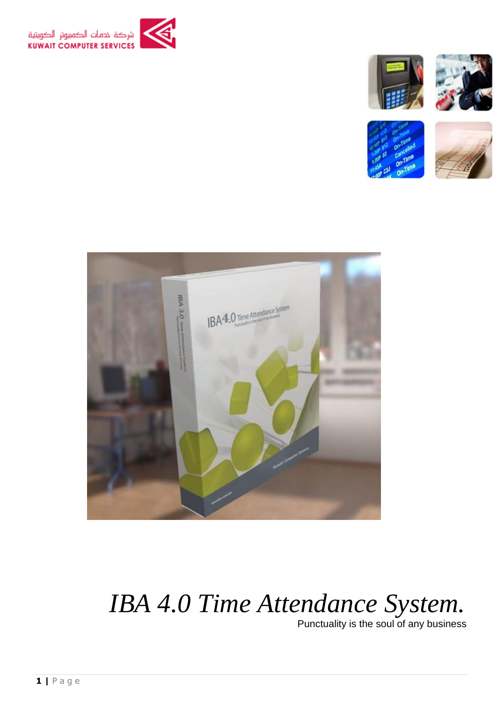



 *IBA 4.0 Time Attendance System.*

Punctuality is the soul of any business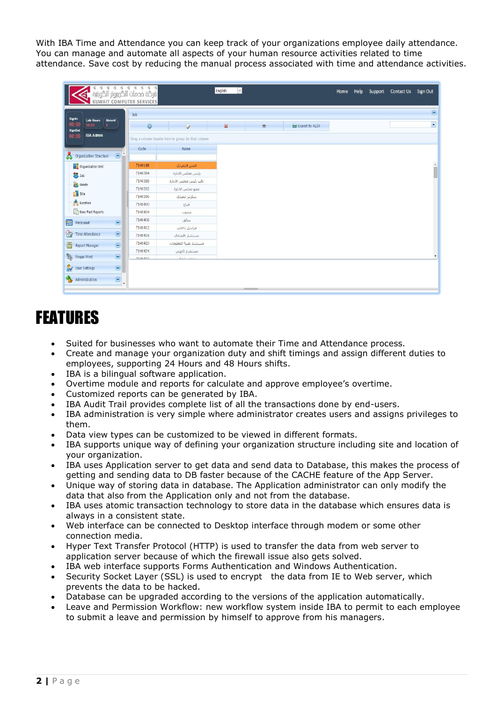With IBA Time and Attendance you can keep track of your organizations employee daily attendance. You can manage and automate all aspects of your human resource activities related to time attendance. Save cost by reducing the manual process associated with time and attendance activities.

|                                                                     | الارکة فحمات الگرویوتر الگویتیة »<br>شرگة فحمات الگرویوتر الگویتیة<br>KUWAIT COMPUTER SERVICES |                                                   | English<br>$\vee$ |                           | Home | Help | Support Contact Us Sign Out |                          |
|---------------------------------------------------------------------|------------------------------------------------------------------------------------------------|---------------------------------------------------|-------------------|---------------------------|------|------|-----------------------------|--------------------------|
|                                                                     | Job                                                                                            |                                                   |                   |                           |      |      |                             | $\overline{\phantom{a}}$ |
| Signin<br><b>Late Hours</b><br>Absent<br>00.00<br>00:00<br>$\theta$ | $\odot$                                                                                        | $\overline{\mathcal{L}}$                          | ×<br>$^{\circ}$   | <b>DED</b> Export to XLSX |      |      |                             | $\blacktriangledown$     |
| SignOut<br><b>IBA Admin</b><br>00:00                                |                                                                                                |                                                   |                   |                           |      |      |                             |                          |
|                                                                     |                                                                                                | Drag a column header here to group by that column |                   |                           |      |      |                             |                          |
|                                                                     | Code                                                                                           | Name                                              |                   |                           |      |      |                             |                          |
| 昜<br>$\Box$<br>Organization Structure                               |                                                                                                |                                                   |                   |                           |      |      |                             |                          |
| Organization Unit                                                   | 7140148                                                                                        | المدير التنفيذي                                   |                   |                           |      |      |                             | $\hat{=}$                |
| <b>3</b> Job                                                        | 7140384                                                                                        | رئيس مجلس الادارة                                 |                   |                           |      |      |                             |                          |
| <b>B</b> Grade                                                      | 7140388                                                                                        | نائب رئيس مجلس الادارة                            |                   |                           |      |      |                             |                          |
| <b>Site</b>                                                         | 7140392                                                                                        | عضو مجلس الأدارة                                  |                   |                           |      |      |                             |                          |
|                                                                     | 7140396                                                                                        | سكرتير تنغيذي                                     |                   |                           |      |      |                             |                          |
| $\frac{1}{2}$ Location                                              | 7140400                                                                                        | طباع                                              |                   |                           |      |      |                             |                          |
| User Fast Reports                                                   | 7140404                                                                                        | مندوب                                             |                   |                           |      |      |                             |                          |
| $\boxed{\mathbf{x}}$<br>BE<br>Personnel                             | 7140408                                                                                        | سائق                                              |                   |                           |      |      |                             |                          |
|                                                                     | 7140412                                                                                        | مراسل داخلي                                       |                   |                           |      |      |                             |                          |
| €<br>$\Xi$<br>Time Attendance                                       | 7140416                                                                                        | مستشار اقصادي                                     |                   |                           |      |      |                             |                          |
| $\boxed{\textbf{x}}$<br>圖<br>Report Manager                         | 7140420                                                                                        | مستشار تقنية المعلومات                            |                   |                           |      |      |                             |                          |
|                                                                     | 7140424                                                                                        | مستشار قانونى                                     |                   |                           |      |      |                             |                          |
| $\boxed{\mathbf{x}}$<br><b>Finger Print</b>                         | 7140422                                                                                        | with the                                          |                   |                           |      |      |                             |                          |
| $\boxed{\mathbf{x}}$<br>$\mathbb{\overline{M}}$<br>User Settings    |                                                                                                |                                                   |                   |                           |      |      |                             |                          |
| $\boxed{\mathbf{v}}$<br>Administration<br><b>Take</b>               | $\overline{\phantom{a}}$                                                                       |                                                   |                   |                           |      |      |                             |                          |
|                                                                     |                                                                                                |                                                   |                   |                           |      |      |                             |                          |

# FEATURES

- Suited for businesses who want to automate their Time and Attendance process.
- Create and manage your organization duty and shift timings and assign different duties to employees, supporting 24 Hours and 48 Hours shifts.
- IBA is a bilingual software application.
- Overtime module and reports for calculate and approve employee's overtime.
- Customized reports can be generated by IBA.
- IBA Audit Trail provides complete list of all the transactions done by end-users.
- IBA administration is very simple where administrator creates users and assigns privileges to them.
- Data view types can be customized to be viewed in different formats.
- IBA supports unique way of defining your organization structure including site and location of your organization.
- IBA uses Application server to get data and send data to Database, this makes the process of getting and sending data to DB faster because of the CACHE feature of the App Server.
- Unique way of storing data in database. The Application administrator can only modify the data that also from the Application only and not from the database.
- IBA uses atomic transaction technology to store data in the database which ensures data is always in a consistent state.
- Web interface can be connected to Desktop interface through modem or some other connection media.
- Hyper Text Transfer Protocol (HTTP) is used to transfer the data from web server to application server because of which the firewall issue also gets solved.
- IBA web interface supports Forms Authentication and Windows Authentication.
- Security Socket Layer (SSL) is used to encrypt the data from IE to Web server, which prevents the data to be hacked.
- Database can be upgraded according to the versions of the application automatically.
- Leave and Permission Workflow: new workflow system inside IBA to permit to each employee to submit a leave and permission by himself to approve from his managers.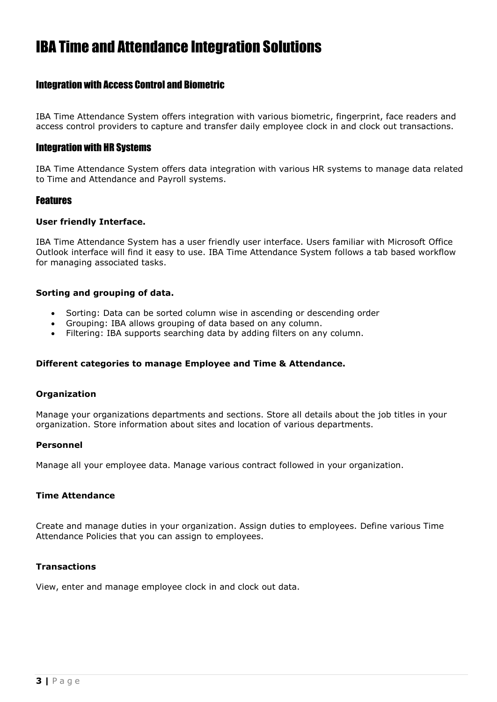# IBA Time and Attendance Integration Solutions

# Integration with Access Control and Biometric

IBA Time Attendance System offers integration with various biometric, fingerprint, face readers and access control providers to capture and transfer daily employee clock in and clock out transactions.

# Integration with HR Systems

IBA Time Attendance System offers data integration with various HR systems to manage data related to Time and Attendance and Payroll systems.

# Features

## **User friendly Interface.**

IBA Time Attendance System has a user friendly user interface. Users familiar with Microsoft Office Outlook interface will find it easy to use. IBA Time Attendance System follows a tab based workflow for managing associated tasks.

#### **Sorting and grouping of data.**

- Sorting: Data can be sorted column wise in ascending or descending order
- Grouping: IBA allows grouping of data based on any column.
- Filtering: IBA supports searching data by adding filters on any column.

## **Different categories to manage Employee and Time & Attendance.**

#### **Organization**

Manage your organizations departments and sections. Store all details about the job titles in your organization. Store information about sites and location of various departments.

#### **Personnel**

Manage all your employee data. Manage various contract followed in your organization.

#### **Time Attendance**

Create and manage duties in your organization. Assign duties to employees. Define various Time Attendance Policies that you can assign to employees.

#### **Transactions**

View, enter and manage employee clock in and clock out data.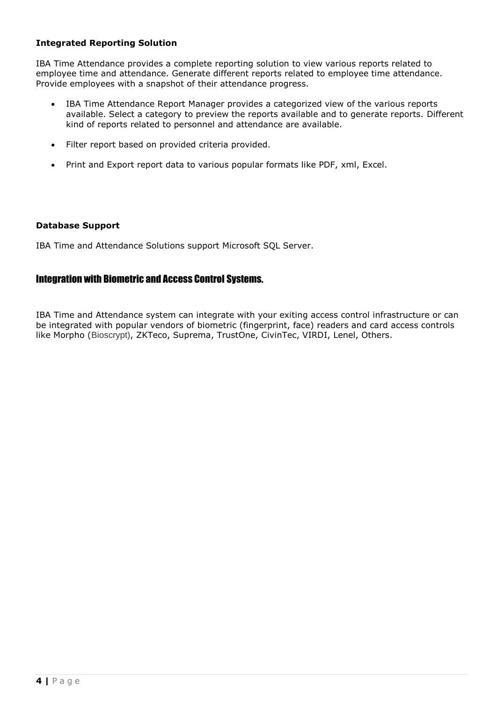# **Integrated Reporting Solution**

IBA Time Attendance provides a complete reporting solution to view various reports related to employee time and attendance. Generate different reports related to employee time attendance. Provide employees with a snapshot of their attendance progress.

- IBA Time Attendance Report Manager provides a categorized view of the various reports available. Select a category to preview the reports available and to generate reports. Different kind of reports related to personnel and attendance are available.
- Filter report based on provided criteria provided.
- Print and Export report data to various popular formats like PDF, xml, Excel.

#### **Database Support**

IBA Time and Attendance Solutions support Microsoft SQL Server.

# Integration with Biometric and Access Control Systems.

IBA Time and Attendance system can integrate with your exiting access control infrastructure or can be integrated with popular vendors of biometric (fingerprint, face) readers and card access controls like Morpho (Bioscrypt), ZKTeco, Suprema, TrustOne, CivinTec, VIRDI, Lenel, Others.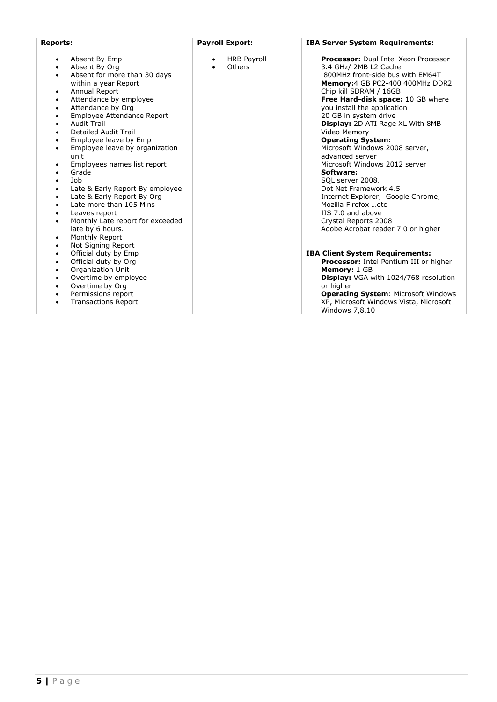| <b>Reports:</b>                                                                                                                                                                                                                                                                                                                                                                                                                                                                                                                                                                                                                                                                                                                                                        | <b>Payroll Export:</b>                                 | <b>IBA Server System Requirements:</b>                                                                                                                                                                                                                                                                                                                                                                                                                                                                                                                                                                                                                    |
|------------------------------------------------------------------------------------------------------------------------------------------------------------------------------------------------------------------------------------------------------------------------------------------------------------------------------------------------------------------------------------------------------------------------------------------------------------------------------------------------------------------------------------------------------------------------------------------------------------------------------------------------------------------------------------------------------------------------------------------------------------------------|--------------------------------------------------------|-----------------------------------------------------------------------------------------------------------------------------------------------------------------------------------------------------------------------------------------------------------------------------------------------------------------------------------------------------------------------------------------------------------------------------------------------------------------------------------------------------------------------------------------------------------------------------------------------------------------------------------------------------------|
| Absent By Emp<br>$\bullet$<br>Absent By Org<br>$\bullet$<br>Absent for more than 30 days<br>$\bullet$<br>within a year Report<br>Annual Report<br>$\bullet$<br>Attendance by employee<br>٠<br>Attendance by Org<br>٠<br>Employee Attendance Report<br>٠<br><b>Audit Trail</b><br>$\bullet$<br><b>Detailed Audit Trail</b><br>$\bullet$<br>Employee leave by Emp<br>٠<br>Employee leave by organization<br>$\bullet$<br>unit<br>Employees names list report<br>$\bullet$<br>Grade<br>$\bullet$<br>Job<br>$\bullet$<br>Late & Early Report By employee<br>٠<br>Late & Early Report By Org<br>$\bullet$<br>Late more than 105 Mins<br>$\bullet$<br>Leaves report<br>$\bullet$<br>Monthly Late report for exceeded<br>$\bullet$<br>late by 6 hours.<br>Monthly Report<br>٠ | <b>HRB Payroll</b><br>$\bullet$<br>Others<br>$\bullet$ | <b>Processor:</b> Dual Intel Xeon Processor<br>3.4 GHz/ 2MB L2 Cache<br>800MHz front-side bus with EM64T<br>Memory: 4 GB PC2-400 400MHz DDR2<br>Chip kill SDRAM / 16GB<br>Free Hard-disk space: 10 GB where<br>you install the application<br>20 GB in system drive<br><b>Display:</b> 2D ATI Rage XL With 8MB<br>Video Memory<br><b>Operating System:</b><br>Microsoft Windows 2008 server,<br>advanced server<br>Microsoft Windows 2012 server<br>Software:<br>SQL server 2008.<br>Dot Net Framework 4.5<br>Internet Explorer, Google Chrome,<br>Mozilla Firefox etc<br>IIS 7.0 and above<br>Crystal Reports 2008<br>Adobe Acrobat reader 7.0 or higher |
| Not Signing Report<br>$\bullet$<br>Official duty by Emp<br>$\bullet$<br>Official duty by Org<br>٠<br>Organization Unit<br>$\bullet$<br>Overtime by employee<br>$\bullet$<br>Overtime by Org<br>٠<br>Permissions report<br>$\bullet$<br><b>Transactions Report</b><br>$\bullet$                                                                                                                                                                                                                                                                                                                                                                                                                                                                                         |                                                        | <b>IBA Client System Requirements:</b><br>Processor: Intel Pentium III or higher<br>Memory: 1 GB<br>Display: VGA with 1024/768 resolution<br>or higher<br><b>Operating System: Microsoft Windows</b><br>XP, Microsoft Windows Vista, Microsoft<br>Windows 7,8,10                                                                                                                                                                                                                                                                                                                                                                                          |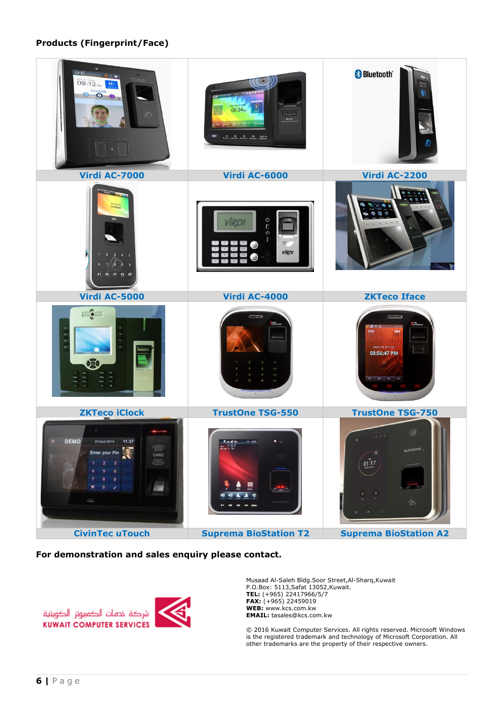## **Products (Fingerprint/Face)**



#### **For demonstration and sales enquiry please contact.**



Musaad Al-Saleh Bldg.Soor Street,Al-Sharq,Kuwait P.O.Box: 5113,Safat 13052,Kuwait. **TEL:** (+965) 22417966/5/7 **FAX:** (+965) 22459019 **WEB:** www.kcs.com.kw **EMAIL:** tasales@kcs.com.kw

© 2016 Kuwait Computer Services. All rights reserved. Microsoft Windows is the registered trademark and technology of Microsoft Corporation. All other trademarks are the property of their respective owners.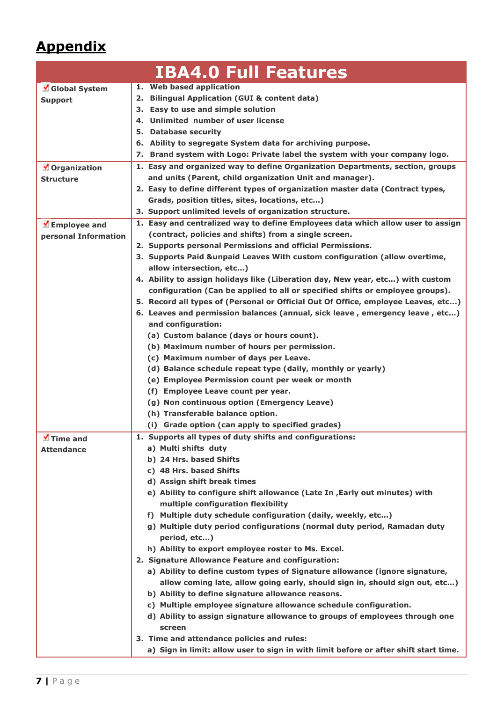# **Appendix**

|                             | <b>IBA4.0 Full Features</b>                                                                             |  |  |  |  |
|-----------------------------|---------------------------------------------------------------------------------------------------------|--|--|--|--|
| Global System               | 1. Web based application                                                                                |  |  |  |  |
| <b>Support</b>              | <b>Bilingual Application (GUI &amp; content data)</b><br>2.                                             |  |  |  |  |
|                             | Easy to use and simple solution<br>З.                                                                   |  |  |  |  |
|                             | Unlimited number of user license<br>4.                                                                  |  |  |  |  |
|                             | <b>Database security</b><br>5.                                                                          |  |  |  |  |
|                             | 6. Ability to segregate System data for archiving purpose.                                              |  |  |  |  |
|                             | 7. Brand system with Logo: Private label the system with your company logo.                             |  |  |  |  |
| Organization                | 1. Easy and organized way to define Organization Departments, section, groups                           |  |  |  |  |
| Structure                   | and units (Parent, child organization Unit and manager).                                                |  |  |  |  |
|                             | 2. Easy to define different types of organization master data (Contract types,                          |  |  |  |  |
|                             | Grads, position titles, sites, locations, etc)                                                          |  |  |  |  |
|                             | 3. Support unlimited levels of organization structure.                                                  |  |  |  |  |
| $\blacksquare$ Employee and | 1. Easy and centralized way to define Employees data which allow user to assign                         |  |  |  |  |
| personal Information        | (contract, policies and shifts) from a single screen.                                                   |  |  |  |  |
|                             | 2. Supports personal Permissions and official Permissions.                                              |  |  |  |  |
|                             | 3. Supports Paid & unpaid Leaves With custom configuration (allow overtime,<br>allow intersection, etc) |  |  |  |  |
|                             | 4. Ability to assign holidays like (Liberation day, New year, etc) with custom                          |  |  |  |  |
|                             |                                                                                                         |  |  |  |  |
|                             | configuration (Can be applied to all or specified shifts or employee groups).                           |  |  |  |  |
|                             | 5. Record all types of (Personal or Official Out Of Office, employee Leaves, etc)                       |  |  |  |  |
|                             | 6. Leaves and permission balances (annual, sick leave, emergency leave, etc)                            |  |  |  |  |
|                             | and configuration:                                                                                      |  |  |  |  |
|                             | (a) Custom balance (days or hours count).                                                               |  |  |  |  |
|                             | (b) Maximum number of hours per permission.                                                             |  |  |  |  |
|                             | (c) Maximum number of days per Leave.                                                                   |  |  |  |  |
|                             | (d) Balance schedule repeat type (daily, monthly or yearly)                                             |  |  |  |  |
|                             | (e) Employee Permission count per week or month                                                         |  |  |  |  |
|                             | (f) Employee Leave count per year.                                                                      |  |  |  |  |
|                             | (g) Non continuous option (Emergency Leave)                                                             |  |  |  |  |
|                             | (h) Transferable balance option.                                                                        |  |  |  |  |
|                             | (i) Grade option (can apply to specified grades)                                                        |  |  |  |  |
| $\blacksquare$ Time and     | 1. Supports all types of duty shifts and configurations:                                                |  |  |  |  |
| <b>Attendance</b>           | a) Multi shifts duty                                                                                    |  |  |  |  |
|                             | b) 24 Hrs. based Shifts                                                                                 |  |  |  |  |
|                             | c) 48 Hrs. based Shifts                                                                                 |  |  |  |  |
|                             | d) Assign shift break times                                                                             |  |  |  |  |
|                             | e) Ability to configure shift allowance (Late In , Early out minutes) with                              |  |  |  |  |
|                             | multiple configuration flexibility                                                                      |  |  |  |  |
|                             | f) Multiple duty schedule configuration (daily, weekly, etc)                                            |  |  |  |  |
|                             | g) Multiple duty period configurations (normal duty period, Ramadan duty                                |  |  |  |  |
|                             | period, etc)                                                                                            |  |  |  |  |
|                             | h) Ability to export employee roster to Ms. Excel.                                                      |  |  |  |  |
|                             | 2. Signature Allowance Feature and configuration:                                                       |  |  |  |  |
|                             | a) Ability to define custom types of Signature allowance (ignore signature,                             |  |  |  |  |
|                             | allow coming late, allow going early, should sign in, should sign out, etc)                             |  |  |  |  |
|                             | b) Ability to define signature allowance reasons.                                                       |  |  |  |  |
|                             | c) Multiple employee signature allowance schedule configuration.                                        |  |  |  |  |
|                             | d) Ability to assign signature allowance to groups of employees through one                             |  |  |  |  |
|                             | screen                                                                                                  |  |  |  |  |
|                             | 3. Time and attendance policies and rules:                                                              |  |  |  |  |
|                             | a) Sign in limit: allow user to sign in with limit before or after shift start time.                    |  |  |  |  |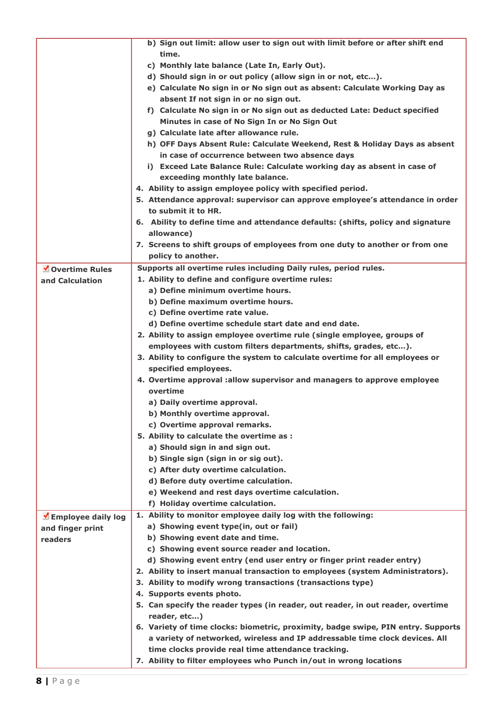|                    | b) Sign out limit: allow user to sign out with limit before or after shift end    |
|--------------------|-----------------------------------------------------------------------------------|
|                    | time.                                                                             |
|                    | c) Monthly late balance (Late In, Early Out).                                     |
|                    | d) Should sign in or out policy (allow sign in or not, etc).                      |
|                    | e) Calculate No sign in or No sign out as absent: Calculate Working Day as        |
|                    | absent If not sign in or no sign out.                                             |
|                    | f) Calculate No sign in or No sign out as deducted Late: Deduct specified         |
|                    | Minutes in case of No Sign In or No Sign Out                                      |
|                    |                                                                                   |
|                    | g) Calculate late after allowance rule.                                           |
|                    | h) OFF Days Absent Rule: Calculate Weekend, Rest & Holiday Days as absent         |
|                    | in case of occurrence between two absence days                                    |
|                    | i) Exceed Late Balance Rule: Calculate working day as absent in case of           |
|                    | exceeding monthly late balance.                                                   |
|                    | 4. Ability to assign employee policy with specified period.                       |
|                    | 5. Attendance approval: supervisor can approve employee's attendance in order     |
|                    | to submit it to HR.                                                               |
|                    | 6. Ability to define time and attendance defaults: (shifts, policy and signature  |
|                    | allowance)                                                                        |
|                    | 7. Screens to shift groups of employees from one duty to another or from one      |
|                    | policy to another.                                                                |
| Overtime Rules     | Supports all overtime rules including Daily rules, period rules.                  |
| and Calculation    | 1. Ability to define and configure overtime rules:                                |
|                    | a) Define minimum overtime hours.                                                 |
|                    | b) Define maximum overtime hours.                                                 |
|                    | c) Define overtime rate value.                                                    |
|                    | d) Define overtime schedule start date and end date.                              |
|                    | 2. Ability to assign employee overtime rule (single employee, groups of           |
|                    | employees with custom filters departments, shifts, grades, etc).                  |
|                    | 3. Ability to configure the system to calculate overtime for all employees or     |
|                    | specified employees.                                                              |
|                    | 4. Overtime approval :allow supervisor and managers to approve employee           |
|                    | overtime                                                                          |
|                    | a) Daily overtime approval.                                                       |
|                    |                                                                                   |
|                    | b) Monthly overtime approval.                                                     |
|                    | c) Overtime approval remarks.                                                     |
|                    | 5. Ability to calculate the overtime as :                                         |
|                    | a) Should sign in and sign out.                                                   |
|                    | b) Single sign (sign in or sig out).                                              |
|                    | c) After duty overtime calculation.                                               |
|                    | d) Before duty overtime calculation.                                              |
|                    | e) Weekend and rest days overtime calculation.                                    |
|                    | f) Holiday overtime calculation.                                                  |
| Employee daily log | 1. Ability to monitor employee daily log with the following:                      |
| and finger print   | a) Showing event type(in, out or fail)                                            |
| readers            | b) Showing event date and time.                                                   |
|                    | c) Showing event source reader and location.                                      |
|                    | d) Showing event entry (end user entry or finger print reader entry)              |
|                    | 2. Ability to insert manual transaction to employees (system Administrators).     |
|                    | 3. Ability to modify wrong transactions (transactions type)                       |
|                    | 4. Supports events photo.                                                         |
|                    | 5. Can specify the reader types (in reader, out reader, in out reader, overtime   |
|                    | reader, etc)                                                                      |
|                    | 6. Variety of time clocks: biometric, proximity, badge swipe, PIN entry. Supports |
|                    | a variety of networked, wireless and IP addressable time clock devices. All       |
|                    | time clocks provide real time attendance tracking.                                |
|                    | 7. Ability to filter employees who Punch in/out in wrong locations                |
|                    |                                                                                   |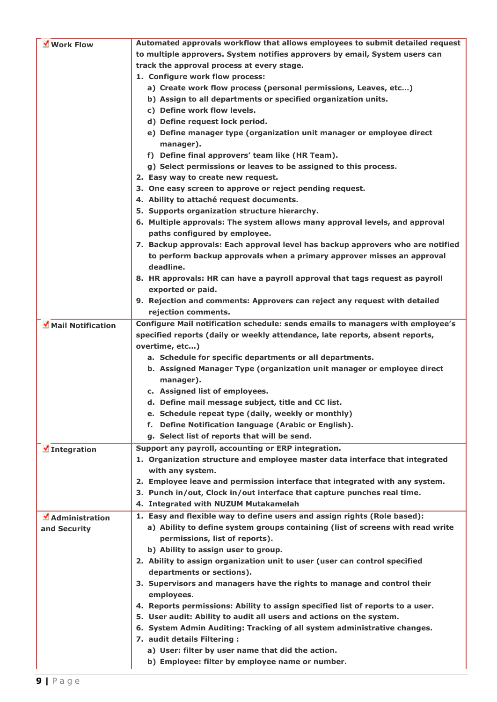| Work Flow                  | Automated approvals workflow that allows employees to submit detailed request  |
|----------------------------|--------------------------------------------------------------------------------|
|                            | to multiple approvers. System notifies approvers by email, System users can    |
|                            | track the approval process at every stage.                                     |
|                            | 1. Configure work flow process:                                                |
|                            | a) Create work flow process (personal permissions, Leaves, etc)                |
|                            | b) Assign to all departments or specified organization units.                  |
|                            | c) Define work flow levels.                                                    |
|                            | d) Define request lock period.                                                 |
|                            | e) Define manager type (organization unit manager or employee direct           |
|                            | manager).                                                                      |
|                            | f) Define final approvers' team like (HR Team).                                |
|                            | g) Select permissions or leaves to be assigned to this process.                |
|                            | 2. Easy way to create new request.                                             |
|                            | 3. One easy screen to approve or reject pending request.                       |
|                            | 4. Ability to attaché request documents.                                       |
|                            | 5. Supports organization structure hierarchy.                                  |
|                            | 6. Multiple approvals: The system allows many approval levels, and approval    |
|                            | paths configured by employee.                                                  |
|                            | 7. Backup approvals: Each approval level has backup approvers who are notified |
|                            | to perform backup approvals when a primary approver misses an approval         |
|                            | deadline.                                                                      |
|                            | 8. HR approvals: HR can have a payroll approval that tags request as payroll   |
|                            | exported or paid.                                                              |
|                            | 9. Rejection and comments: Approvers can reject any request with detailed      |
|                            | rejection comments.                                                            |
| Mail Notification          | Configure Mail notification schedule: sends emails to managers with employee's |
|                            | specified reports (daily or weekly attendance, late reports, absent reports,   |
|                            | overtime, etc)                                                                 |
|                            | a. Schedule for specific departments or all departments.                       |
|                            | b. Assigned Manager Type (organization unit manager or employee direct         |
|                            | manager).                                                                      |
|                            | c. Assigned list of employees.                                                 |
|                            | d. Define mail message subject, title and CC list.                             |
|                            | e. Schedule repeat type (daily, weekly or monthly)                             |
|                            | Define Notification language (Arabic or English).<br>f.                        |
|                            | g. Select list of reports that will be send.                                   |
| $\blacksquare$ Integration | Support any payroll, accounting or ERP integration.                            |
|                            | 1. Organization structure and employee master data interface that integrated   |
|                            | with any system.                                                               |
|                            | 2. Employee leave and permission interface that integrated with any system.    |
|                            | 3. Punch in/out, Clock in/out interface that capture punches real time.        |
|                            | 4. Integrated with NUZUM Mutakamelah                                           |
| MAdministration            | 1. Easy and flexible way to define users and assign rights (Role based):       |
| and Security               | a) Ability to define system groups containing (list of screens with read write |
|                            | permissions, list of reports).                                                 |
|                            | b) Ability to assign user to group.                                            |
|                            | 2. Ability to assign organization unit to user (user can control specified     |
|                            | departments or sections).                                                      |
|                            | 3. Supervisors and managers have the rights to manage and control their        |
|                            | employees.                                                                     |
|                            | 4. Reports permissions: Ability to assign specified list of reports to a user. |
|                            | 5. User audit: Ability to audit all users and actions on the system.           |
|                            | 6. System Admin Auditing: Tracking of all system administrative changes.       |
|                            | 7. audit details Filtering :                                                   |
|                            | a) User: filter by user name that did the action.                              |
|                            | b) Employee: filter by employee name or number.                                |
|                            |                                                                                |